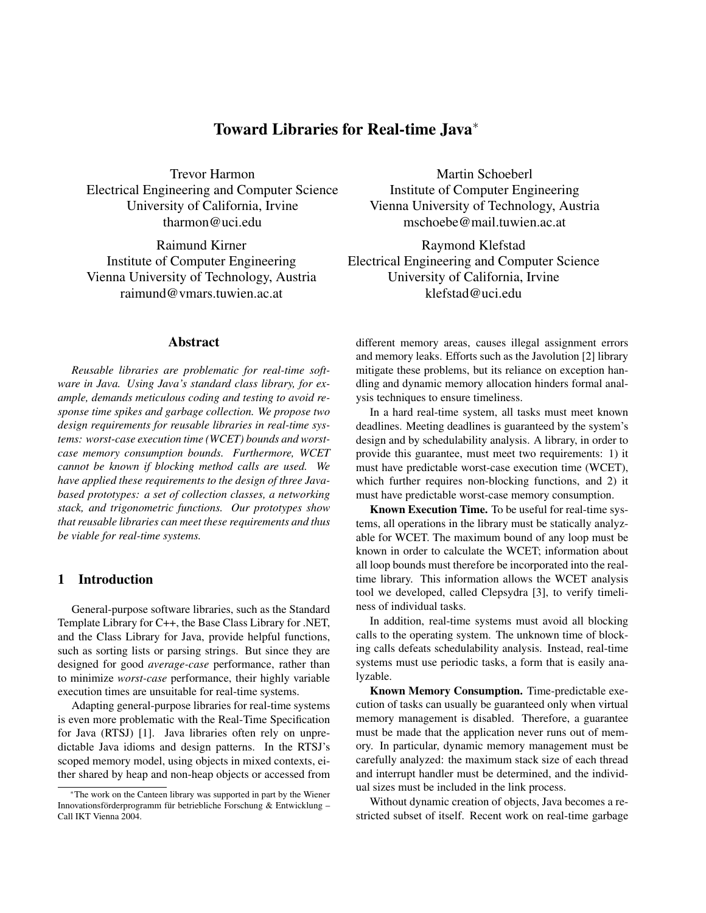# Toward Libraries for Real-time Java<sup>∗</sup>

Trevor Harmon Electrical Engineering and Computer Science University of California, Irvine tharmon@uci.edu

Raimund Kirner Institute of Computer Engineering Vienna University of Technology, Austria raimund@vmars.tuwien.ac.at

## Abstract

*Reusable libraries are problematic for real-time software in Java. Using Java's standard class library, for example, demands meticulous coding and testing to avoid response time spikes and garbage collection. We propose two design requirements for reusable libraries in real-time systems: worst-case execution time (WCET) bounds and worstcase memory consumption bounds. Furthermore, WCET cannot be known if blocking method calls are used. We have applied these requirements to the design of three Javabased prototypes: a set of collection classes, a networking stack, and trigonometric functions. Our prototypes show that reusable libraries can meet these requirements and thus be viable for real-time systems.*

### 1 Introduction

General-purpose software libraries, such as the Standard Template Library for C++, the Base Class Library for .NET, and the Class Library for Java, provide helpful functions, such as sorting lists or parsing strings. But since they are designed for good *average-case* performance, rather than to minimize *worst-case* performance, their highly variable execution times are unsuitable for real-time systems.

Adapting general-purpose libraries for real-time systems is even more problematic with the Real-Time Specification for Java (RTSJ) [1]. Java libraries often rely on unpredictable Java idioms and design patterns. In the RTSJ's scoped memory model, using objects in mixed contexts, either shared by heap and non-heap objects or accessed from

Martin Schoeberl Institute of Computer Engineering Vienna University of Technology, Austria mschoebe@mail.tuwien.ac.at

Raymond Klefstad Electrical Engineering and Computer Science University of California, Irvine klefstad@uci.edu

different memory areas, causes illegal assignment errors and memory leaks. Efforts such as the Javolution [2] library mitigate these problems, but its reliance on exception handling and dynamic memory allocation hinders formal analysis techniques to ensure timeliness.

In a hard real-time system, all tasks must meet known deadlines. Meeting deadlines is guaranteed by the system's design and by schedulability analysis. A library, in order to provide this guarantee, must meet two requirements: 1) it must have predictable worst-case execution time (WCET), which further requires non-blocking functions, and 2) it must have predictable worst-case memory consumption.

Known Execution Time. To be useful for real-time systems, all operations in the library must be statically analyzable for WCET. The maximum bound of any loop must be known in order to calculate the WCET; information about all loop bounds must therefore be incorporated into the realtime library. This information allows the WCET analysis tool we developed, called Clepsydra [3], to verify timeliness of individual tasks.

In addition, real-time systems must avoid all blocking calls to the operating system. The unknown time of blocking calls defeats schedulability analysis. Instead, real-time systems must use periodic tasks, a form that is easily analyzable.

Known Memory Consumption. Time-predictable execution of tasks can usually be guaranteed only when virtual memory management is disabled. Therefore, a guarantee must be made that the application never runs out of memory. In particular, dynamic memory management must be carefully analyzed: the maximum stack size of each thread and interrupt handler must be determined, and the individual sizes must be included in the link process.

Without dynamic creation of objects, Java becomes a restricted subset of itself. Recent work on real-time garbage

<sup>∗</sup>The work on the Canteen library was supported in part by the Wiener Innovationsförderprogramm für betriebliche Forschung & Entwicklung – Call IKT Vienna 2004.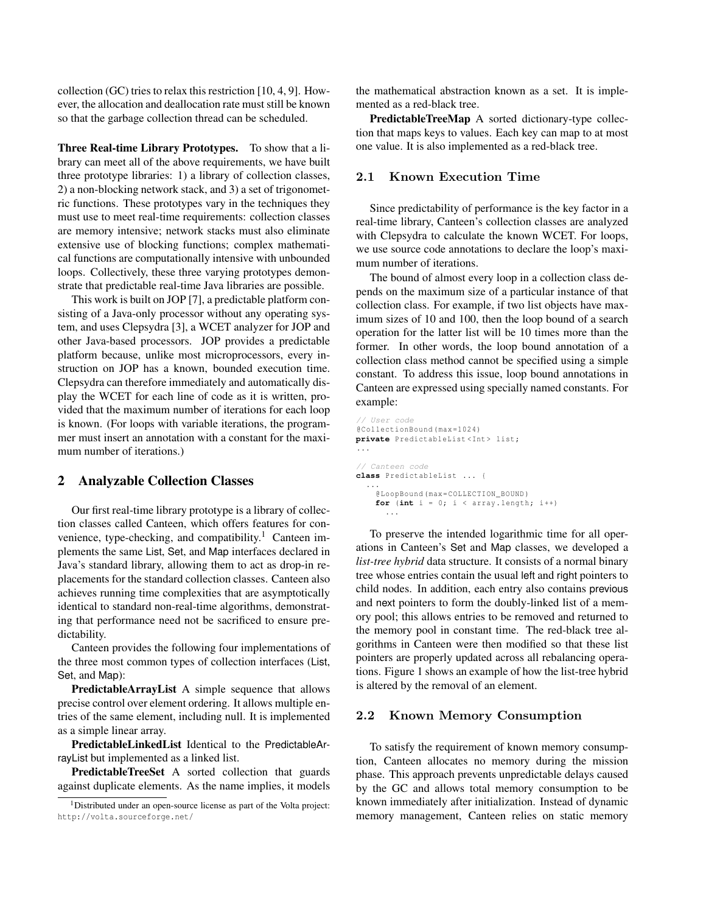collection (GC) tries to relax this restriction [10, 4, 9]. However, the allocation and deallocation rate must still be known so that the garbage collection thread can be scheduled.

Three Real-time Library Prototypes. To show that a library can meet all of the above requirements, we have built three prototype libraries: 1) a library of collection classes, 2) a non-blocking network stack, and 3) a set of trigonometric functions. These prototypes vary in the techniques they must use to meet real-time requirements: collection classes are memory intensive; network stacks must also eliminate extensive use of blocking functions; complex mathematical functions are computationally intensive with unbounded loops. Collectively, these three varying prototypes demonstrate that predictable real-time Java libraries are possible.

This work is built on JOP [7], a predictable platform consisting of a Java-only processor without any operating system, and uses Clepsydra [3], a WCET analyzer for JOP and other Java-based processors. JOP provides a predictable platform because, unlike most microprocessors, every instruction on JOP has a known, bounded execution time. Clepsydra can therefore immediately and automatically display the WCET for each line of code as it is written, provided that the maximum number of iterations for each loop is known. (For loops with variable iterations, the programmer must insert an annotation with a constant for the maximum number of iterations.)

## 2 Analyzable Collection Classes

Our first real-time library prototype is a library of collection classes called Canteen, which offers features for convenience, type-checking, and compatibility.<sup>1</sup> Canteen implements the same List, Set, and Map interfaces declared in Java's standard library, allowing them to act as drop-in replacements for the standard collection classes. Canteen also achieves running time complexities that are asymptotically identical to standard non-real-time algorithms, demonstrating that performance need not be sacrificed to ensure predictability.

Canteen provides the following four implementations of the three most common types of collection interfaces (List, Set, and Map):

PredictableArrayList A simple sequence that allows precise control over element ordering. It allows multiple entries of the same element, including null. It is implemented as a simple linear array.

PredictableLinkedList Identical to the PredictableArrayList but implemented as a linked list.

PredictableTreeSet A sorted collection that guards against duplicate elements. As the name implies, it models the mathematical abstraction known as a set. It is implemented as a red-black tree.

PredictableTreeMap A sorted dictionary-type collection that maps keys to values. Each key can map to at most one value. It is also implemented as a red-black tree.

## 2.1 Known Execution Time

Since predictability of performance is the key factor in a real-time library, Canteen's collection classes are analyzed with Clepsydra to calculate the known WCET. For loops, we use source code annotations to declare the loop's maximum number of iterations.

The bound of almost every loop in a collection class depends on the maximum size of a particular instance of that collection class. For example, if two list objects have maximum sizes of 10 and 100, then the loop bound of a search operation for the latter list will be 10 times more than the former. In other words, the loop bound annotation of a collection class method cannot be specified using a simple constant. To address this issue, loop bound annotations in Canteen are expressed using specially named constants. For example:

```
// User code
@CollectionBound (max =1024)
private PredictableList<Int> list;
...
// Canteen code
class PredictableList ... {
  ...
    @LoopBound(max= COLLECTION_BOUND )
    for (int i = 0; i < \text{array.length}; i++)
```
To preserve the intended logarithmic time for all operations in Canteen's Set and Map classes, we developed a *list-tree hybrid* data structure. It consists of a normal binary tree whose entries contain the usual left and right pointers to child nodes. In addition, each entry also contains previous and next pointers to form the doubly-linked list of a memory pool; this allows entries to be removed and returned to the memory pool in constant time. The red-black tree algorithms in Canteen were then modified so that these list pointers are properly updated across all rebalancing operations. Figure 1 shows an example of how the list-tree hybrid is altered by the removal of an element.

## 2.2 Known Memory Consumption

To satisfy the requirement of known memory consumption, Canteen allocates no memory during the mission phase. This approach prevents unpredictable delays caused by the GC and allows total memory consumption to be known immediately after initialization. Instead of dynamic memory management, Canteen relies on static memory

<sup>1</sup>Distributed under an open-source license as part of the Volta project: http://volta.sourceforge.net/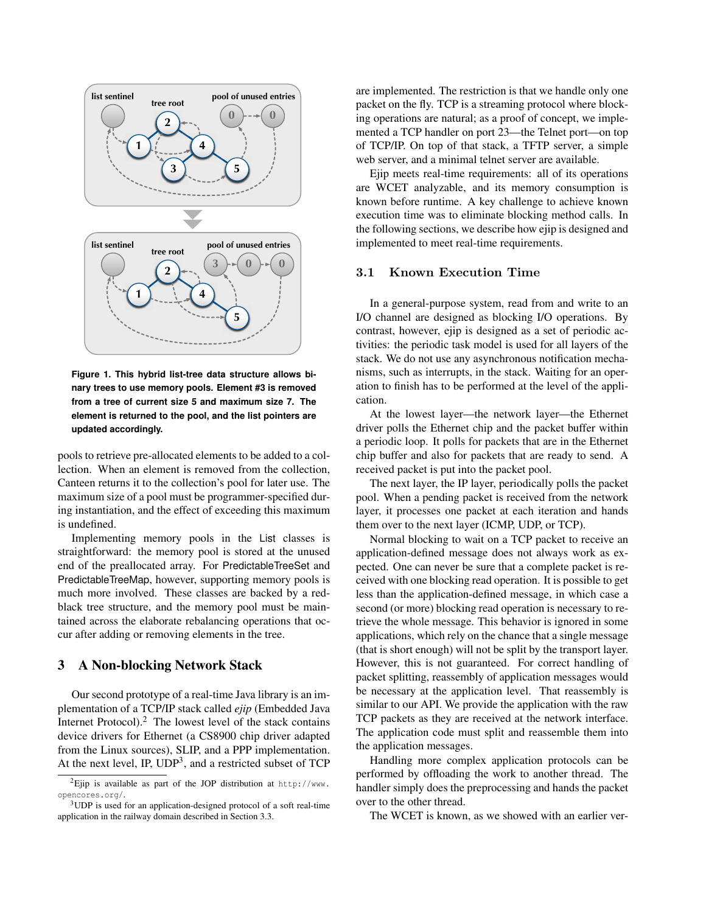

**Figure 1. This hybrid list-tree data structure allows binary trees to use memory pools. Element #3 is removed from a tree of current size 5 and maximum size 7. The element is returned to the pool, and the list pointers are updated accordingly.**

pools to retrieve pre-allocated elements to be added to a collection. When an element is removed from the collection, Canteen returns it to the collection's pool for later use. The maximum size of a pool must be programmer-specified during instantiation, and the effect of exceeding this maximum is undefined.

Implementing memory pools in the List classes is straightforward: the memory pool is stored at the unused end of the preallocated array. For PredictableTreeSet and PredictableTreeMap, however, supporting memory pools is much more involved. These classes are backed by a redblack tree structure, and the memory pool must be maintained across the elaborate rebalancing operations that occur after adding or removing elements in the tree.

## 3 A Non-blocking Network Stack

Our second prototype of a real-time Java library is an implementation of a TCP/IP stack called *ejip* (Embedded Java Internet Protocol). $2$  The lowest level of the stack contains device drivers for Ethernet (a CS8900 chip driver adapted from the Linux sources), SLIP, and a PPP implementation. At the next level, IP, UDP<sup>3</sup>, and a restricted subset of TCP

are implemented. The restriction is that we handle only one packet on the fly. TCP is a streaming protocol where blocking operations are natural; as a proof of concept, we implemented a TCP handler on port 23—the Telnet port—on top of TCP/IP. On top of that stack, a TFTP server, a simple web server, and a minimal telnet server are available.

Ejip meets real-time requirements: all of its operations are WCET analyzable, and its memory consumption is known before runtime. A key challenge to achieve known execution time was to eliminate blocking method calls. In the following sections, we describe how ejip is designed and implemented to meet real-time requirements.

## 3.1 Known Execution Time

In a general-purpose system, read from and write to an I/O channel are designed as blocking I/O operations. By contrast, however, ejip is designed as a set of periodic activities: the periodic task model is used for all layers of the stack. We do not use any asynchronous notification mechanisms, such as interrupts, in the stack. Waiting for an operation to finish has to be performed at the level of the application.

At the lowest layer—the network layer—the Ethernet driver polls the Ethernet chip and the packet buffer within a periodic loop. It polls for packets that are in the Ethernet chip buffer and also for packets that are ready to send. A received packet is put into the packet pool.

The next layer, the IP layer, periodically polls the packet pool. When a pending packet is received from the network layer, it processes one packet at each iteration and hands them over to the next layer (ICMP, UDP, or TCP).

Normal blocking to wait on a TCP packet to receive an application-defined message does not always work as expected. One can never be sure that a complete packet is received with one blocking read operation. It is possible to get less than the application-defined message, in which case a second (or more) blocking read operation is necessary to retrieve the whole message. This behavior is ignored in some applications, which rely on the chance that a single message (that is short enough) will not be split by the transport layer. However, this is not guaranteed. For correct handling of packet splitting, reassembly of application messages would be necessary at the application level. That reassembly is similar to our API. We provide the application with the raw TCP packets as they are received at the network interface. The application code must split and reassemble them into the application messages.

Handling more complex application protocols can be performed by offloading the work to another thread. The handler simply does the preprocessing and hands the packet over to the other thread.

The WCET is known, as we showed with an earlier ver-

<sup>2</sup>Ejip is available as part of the JOP distribution at http://www. opencores.org/.

<sup>3</sup>UDP is used for an application-designed protocol of a soft real-time application in the railway domain described in Section 3.3.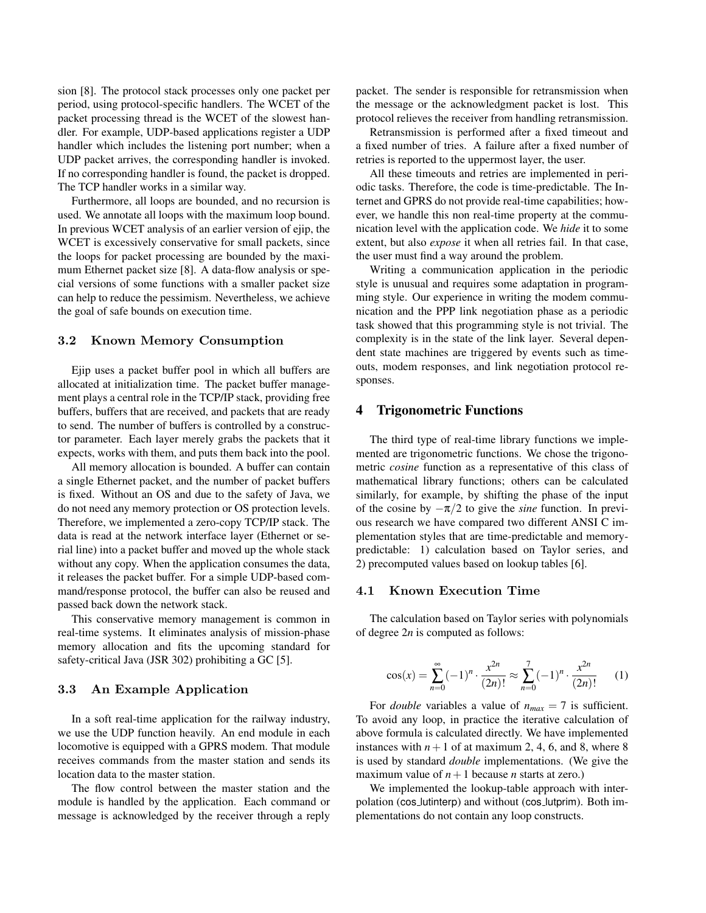sion [8]. The protocol stack processes only one packet per period, using protocol-specific handlers. The WCET of the packet processing thread is the WCET of the slowest handler. For example, UDP-based applications register a UDP handler which includes the listening port number; when a UDP packet arrives, the corresponding handler is invoked. If no corresponding handler is found, the packet is dropped. The TCP handler works in a similar way.

Furthermore, all loops are bounded, and no recursion is used. We annotate all loops with the maximum loop bound. In previous WCET analysis of an earlier version of ejip, the WCET is excessively conservative for small packets, since the loops for packet processing are bounded by the maximum Ethernet packet size [8]. A data-flow analysis or special versions of some functions with a smaller packet size can help to reduce the pessimism. Nevertheless, we achieve the goal of safe bounds on execution time.

#### 3.2 Known Memory Consumption

Ejip uses a packet buffer pool in which all buffers are allocated at initialization time. The packet buffer management plays a central role in the TCP/IP stack, providing free buffers, buffers that are received, and packets that are ready to send. The number of buffers is controlled by a constructor parameter. Each layer merely grabs the packets that it expects, works with them, and puts them back into the pool.

All memory allocation is bounded. A buffer can contain a single Ethernet packet, and the number of packet buffers is fixed. Without an OS and due to the safety of Java, we do not need any memory protection or OS protection levels. Therefore, we implemented a zero-copy TCP/IP stack. The data is read at the network interface layer (Ethernet or serial line) into a packet buffer and moved up the whole stack without any copy. When the application consumes the data, it releases the packet buffer. For a simple UDP-based command/response protocol, the buffer can also be reused and passed back down the network stack.

This conservative memory management is common in real-time systems. It eliminates analysis of mission-phase memory allocation and fits the upcoming standard for safety-critical Java (JSR 302) prohibiting a GC [5].

#### 3.3 An Example Application

In a soft real-time application for the railway industry, we use the UDP function heavily. An end module in each locomotive is equipped with a GPRS modem. That module receives commands from the master station and sends its location data to the master station.

The flow control between the master station and the module is handled by the application. Each command or message is acknowledged by the receiver through a reply

packet. The sender is responsible for retransmission when the message or the acknowledgment packet is lost. This protocol relieves the receiver from handling retransmission.

Retransmission is performed after a fixed timeout and a fixed number of tries. A failure after a fixed number of retries is reported to the uppermost layer, the user.

All these timeouts and retries are implemented in periodic tasks. Therefore, the code is time-predictable. The Internet and GPRS do not provide real-time capabilities; however, we handle this non real-time property at the communication level with the application code. We *hide* it to some extent, but also *expose* it when all retries fail. In that case, the user must find a way around the problem.

Writing a communication application in the periodic style is unusual and requires some adaptation in programming style. Our experience in writing the modem communication and the PPP link negotiation phase as a periodic task showed that this programming style is not trivial. The complexity is in the state of the link layer. Several dependent state machines are triggered by events such as timeouts, modem responses, and link negotiation protocol responses.

### 4 Trigonometric Functions

The third type of real-time library functions we implemented are trigonometric functions. We chose the trigonometric *cosine* function as a representative of this class of mathematical library functions; others can be calculated similarly, for example, by shifting the phase of the input of the cosine by −π/2 to give the *sine* function. In previous research we have compared two different ANSI C implementation styles that are time-predictable and memorypredictable: 1) calculation based on Taylor series, and 2) precomputed values based on lookup tables [6].

#### 4.1 Known Execution Time

The calculation based on Taylor series with polynomials of degree 2*n* is computed as follows:

$$
\cos(x) = \sum_{n=0}^{\infty} (-1)^n \cdot \frac{x^{2n}}{(2n)!} \approx \sum_{n=0}^{7} (-1)^n \cdot \frac{x^{2n}}{(2n)!}
$$
 (1)

For *double* variables a value of  $n_{max} = 7$  is sufficient. To avoid any loop, in practice the iterative calculation of above formula is calculated directly. We have implemented instances with  $n+1$  of at maximum 2, 4, 6, and 8, where 8 is used by standard *double* implementations. (We give the maximum value of  $n+1$  because *n* starts at zero.)

We implemented the lookup-table approach with interpolation (cos lutinterp) and without (cos lutprim). Both implementations do not contain any loop constructs.